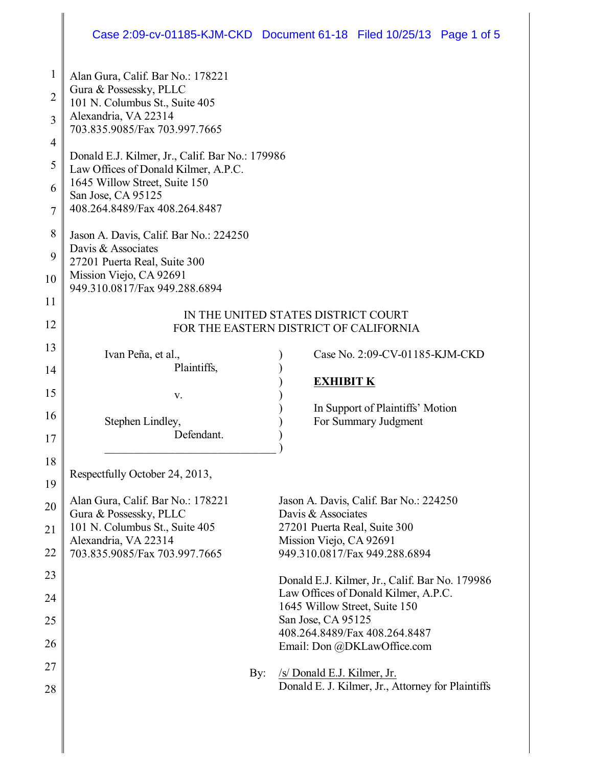# Case 2:09-cv-01185-KJM-CKD Document 61-18 Filed 10/25/13 Page 1 of 5

| $\mathbf{1}$   | Alan Gura, Calif. Bar No.: 178221                                                       |                                                         |
|----------------|-----------------------------------------------------------------------------------------|---------------------------------------------------------|
| $\overline{2}$ | Gura & Possessky, PLLC                                                                  |                                                         |
|                | 101 N. Columbus St., Suite 405                                                          |                                                         |
| 3              | Alexandria, VA 22314<br>703.835.9085/Fax 703.997.7665                                   |                                                         |
| $\overline{4}$ |                                                                                         |                                                         |
| 5              | Donald E.J. Kilmer, Jr., Calif. Bar No.: 179986<br>Law Offices of Donald Kilmer, A.P.C. |                                                         |
| 6              | 1645 Willow Street, Suite 150                                                           |                                                         |
|                | San Jose, CA 95125                                                                      |                                                         |
| 7              | 408.264.8489/Fax 408.264.8487                                                           |                                                         |
| 8              | Jason A. Davis, Calif. Bar No.: 224250                                                  |                                                         |
| 9              | Davis & Associates<br>27201 Puerta Real, Suite 300                                      |                                                         |
| 10             | Mission Viejo, CA 92691                                                                 |                                                         |
|                | 949.310.0817/Fax 949.288.6894                                                           |                                                         |
| 11             | IN THE UNITED STATES DISTRICT COURT                                                     |                                                         |
| 12             | FOR THE EASTERN DISTRICT OF CALIFORNIA                                                  |                                                         |
| 13             |                                                                                         |                                                         |
|                | Ivan Peña, et al.,<br>Plaintiffs,                                                       | Case No. 2:09-CV-01185-KJM-CKD                          |
| 14             |                                                                                         | <b>EXHIBIT K</b>                                        |
| 15             | V.                                                                                      |                                                         |
| 16             |                                                                                         | In Support of Plaintiffs' Motion                        |
|                | Stephen Lindley,<br>Defendant.                                                          | For Summary Judgment                                    |
| 17             |                                                                                         |                                                         |
| 18             |                                                                                         |                                                         |
| 19             | Respectfully October 24, 2013,                                                          |                                                         |
| 20             | Alan Gura, Calif. Bar No.: 178221                                                       | Jason A. Davis, Calif. Bar No.: 224250                  |
|                | Gura & Possessky, PLLC                                                                  | Davis & Associates                                      |
| 21             | 101 N. Columbus St., Suite 405<br>Alexandria, VA 22314                                  | 27201 Puerta Real, Suite 300<br>Mission Viejo, CA 92691 |
| 22             | 703.835.9085/Fax 703.997.7665                                                           | 949.310.0817/Fax 949.288.6894                           |
| 23             |                                                                                         | Donald E.J. Kilmer, Jr., Calif. Bar No. 179986          |
| 24             |                                                                                         | Law Offices of Donald Kilmer, A.P.C.                    |
|                |                                                                                         | 1645 Willow Street, Suite 150                           |
| 25             |                                                                                         | San Jose, CA 95125<br>408.264.8489/Fax 408.264.8487     |
| 26             |                                                                                         | Email: Don @DKLawOffice.com                             |
| 27             | By:                                                                                     | /s/ Donald E.J. Kilmer, Jr.                             |
| 28             |                                                                                         | Donald E. J. Kilmer, Jr., Attorney for Plaintiffs       |
|                |                                                                                         |                                                         |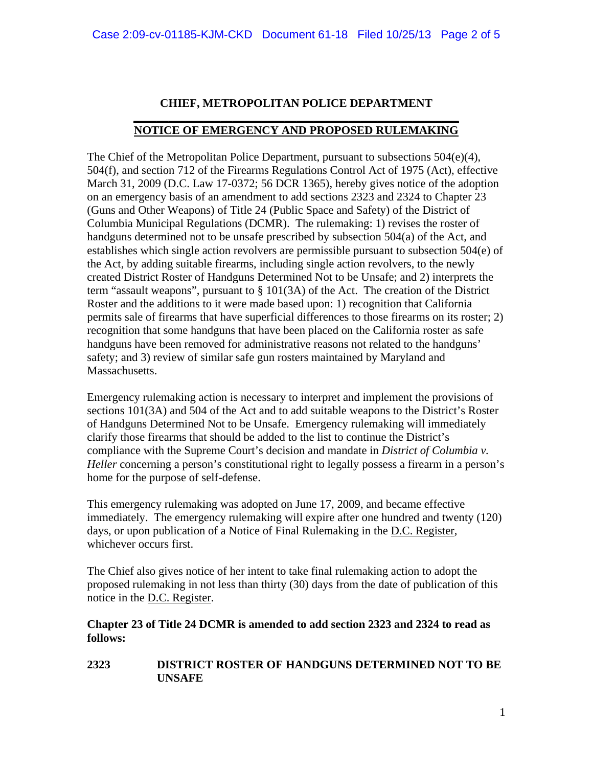## **CHIEF, METROPOLITAN POLICE DEPARTMENT**

#### **\_\_\_\_\_\_\_\_\_\_\_\_\_\_\_\_\_\_\_\_\_\_\_\_\_\_\_\_\_\_\_\_\_\_\_\_\_\_\_\_\_\_\_\_\_\_\_\_\_\_\_\_\_\_\_\_ NOTICE OF EMERGENCY AND PROPOSED RULEMAKING**

The Chief of the Metropolitan Police Department, pursuant to subsections  $504(e)(4)$ , 504(f), and section 712 of the Firearms Regulations Control Act of 1975 (Act), effective March 31, 2009 (D.C. Law 17-0372; 56 DCR 1365), hereby gives notice of the adoption on an emergency basis of an amendment to add sections 2323 and 2324 to Chapter 23 (Guns and Other Weapons) of Title 24 (Public Space and Safety) of the District of Columbia Municipal Regulations (DCMR). The rulemaking: 1) revises the roster of handguns determined not to be unsafe prescribed by subsection 504(a) of the Act, and establishes which single action revolvers are permissible pursuant to subsection 504(e) of the Act, by adding suitable firearms, including single action revolvers, to the newly created District Roster of Handguns Determined Not to be Unsafe; and 2) interprets the term "assault weapons", pursuant to § 101(3A) of the Act. The creation of the District Roster and the additions to it were made based upon: 1) recognition that California permits sale of firearms that have superficial differences to those firearms on its roster; 2) recognition that some handguns that have been placed on the California roster as safe handguns have been removed for administrative reasons not related to the handguns' safety; and 3) review of similar safe gun rosters maintained by Maryland and Massachusetts.

Emergency rulemaking action is necessary to interpret and implement the provisions of sections 101(3A) and 504 of the Act and to add suitable weapons to the District's Roster of Handguns Determined Not to be Unsafe. Emergency rulemaking will immediately clarify those firearms that should be added to the list to continue the District's compliance with the Supreme Court's decision and mandate in *District of Columbia v. Heller* concerning a person's constitutional right to legally possess a firearm in a person's home for the purpose of self-defense.

This emergency rulemaking was adopted on June 17, 2009, and became effective immediately. The emergency rulemaking will expire after one hundred and twenty (120) days, or upon publication of a Notice of Final Rulemaking in the D.C. Register, whichever occurs first.

The Chief also gives notice of her intent to take final rulemaking action to adopt the proposed rulemaking in not less than thirty (30) days from the date of publication of this notice in the D.C. Register.

### **Chapter 23 of Title 24 DCMR is amended to add section 2323 and 2324 to read as follows:**

**2323 DISTRICT ROSTER OF HANDGUNS DETERMINED NOT TO BE UNSAFE**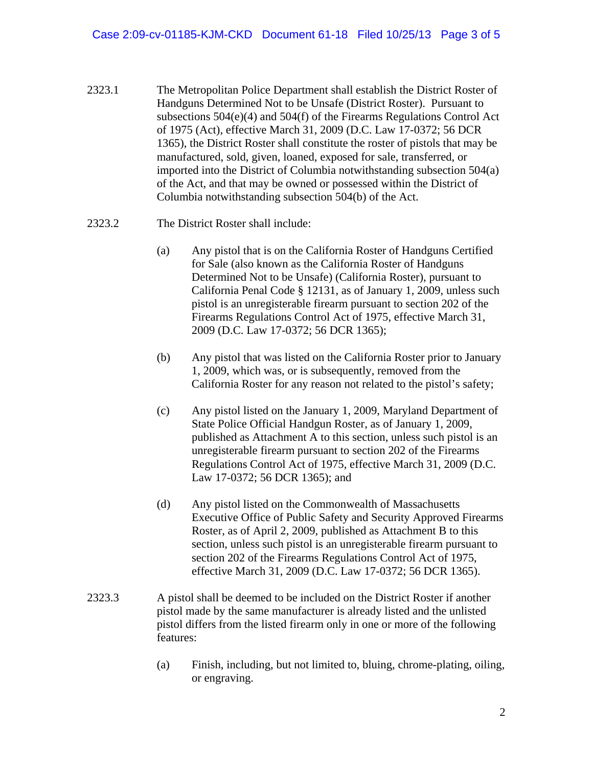- 2323.1 The Metropolitan Police Department shall establish the District Roster of Handguns Determined Not to be Unsafe (District Roster). Pursuant to subsections 504(e)(4) and 504(f) of the Firearms Regulations Control Act of 1975 (Act), effective March 31, 2009 (D.C. Law 17-0372; 56 DCR 1365), the District Roster shall constitute the roster of pistols that may be manufactured, sold, given, loaned, exposed for sale, transferred, or imported into the District of Columbia notwithstanding subsection 504(a) of the Act, and that may be owned or possessed within the District of Columbia notwithstanding subsection 504(b) of the Act.
- 2323.2 The District Roster shall include:
	- (a) Any pistol that is on the California Roster of Handguns Certified for Sale (also known as the California Roster of Handguns Determined Not to be Unsafe) (California Roster), pursuant to California Penal Code § 12131, as of January 1, 2009, unless such pistol is an unregisterable firearm pursuant to section 202 of the Firearms Regulations Control Act of 1975, effective March 31, 2009 (D.C. Law 17-0372; 56 DCR 1365);
	- (b) Any pistol that was listed on the California Roster prior to January 1, 2009, which was, or is subsequently, removed from the California Roster for any reason not related to the pistol's safety;
	- (c) Any pistol listed on the January 1, 2009, Maryland Department of State Police Official Handgun Roster, as of January 1, 2009, published as Attachment A to this section, unless such pistol is an unregisterable firearm pursuant to section 202 of the Firearms Regulations Control Act of 1975, effective March 31, 2009 (D.C. Law 17-0372; 56 DCR 1365); and
	- (d) Any pistol listed on the Commonwealth of Massachusetts Executive Office of Public Safety and Security Approved Firearms Roster, as of April 2, 2009, published as Attachment B to this section, unless such pistol is an unregisterable firearm pursuant to section 202 of the Firearms Regulations Control Act of 1975, effective March 31, 2009 (D.C. Law 17-0372; 56 DCR 1365).
- 2323.3 A pistol shall be deemed to be included on the District Roster if another pistol made by the same manufacturer is already listed and the unlisted pistol differs from the listed firearm only in one or more of the following features:
	- (a) Finish, including, but not limited to, bluing, chrome-plating, oiling, or engraving.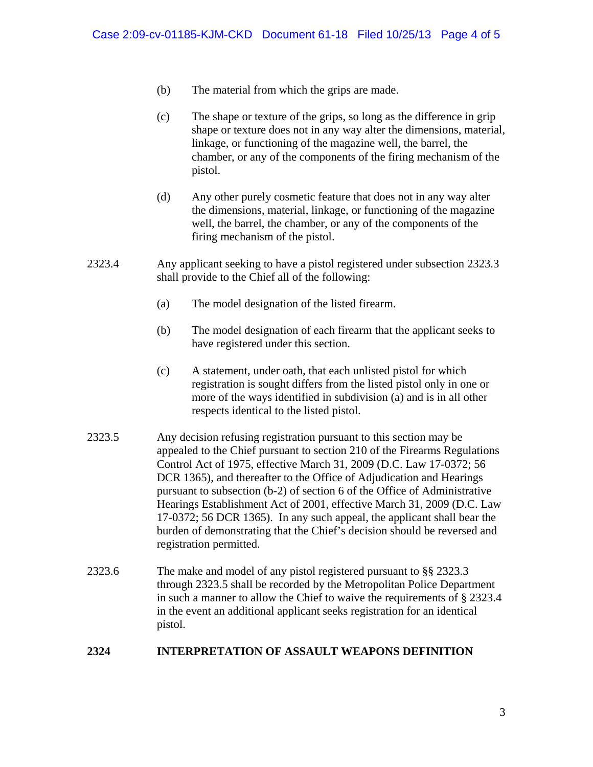- (b) The material from which the grips are made.
- (c) The shape or texture of the grips, so long as the difference in grip shape or texture does not in any way alter the dimensions, material, linkage, or functioning of the magazine well, the barrel, the chamber, or any of the components of the firing mechanism of the pistol.
- (d) Any other purely cosmetic feature that does not in any way alter the dimensions, material, linkage, or functioning of the magazine well, the barrel, the chamber, or any of the components of the firing mechanism of the pistol.
- 2323.4 Any applicant seeking to have a pistol registered under subsection 2323.3 shall provide to the Chief all of the following:
	- (a) The model designation of the listed firearm.
	- (b) The model designation of each firearm that the applicant seeks to have registered under this section.
	- (c) A statement, under oath, that each unlisted pistol for which registration is sought differs from the listed pistol only in one or more of the ways identified in subdivision (a) and is in all other respects identical to the listed pistol.
- 2323.5 Any decision refusing registration pursuant to this section may be appealed to the Chief pursuant to section 210 of the Firearms Regulations Control Act of 1975, effective March 31, 2009 (D.C. Law 17-0372; 56 DCR 1365), and thereafter to the Office of Adjudication and Hearings pursuant to subsection (b-2) of section 6 of the Office of Administrative Hearings Establishment Act of 2001, effective March 31, 2009 (D.C. Law 17-0372; 56 DCR 1365). In any such appeal, the applicant shall bear the burden of demonstrating that the Chief's decision should be reversed and registration permitted.
- 2323.6 The make and model of any pistol registered pursuant to §§ 2323.3 through 2323.5 shall be recorded by the Metropolitan Police Department in such a manner to allow the Chief to waive the requirements of § 2323.4 in the event an additional applicant seeks registration for an identical pistol.

## **2324 INTERPRETATION OF ASSAULT WEAPONS DEFINITION**